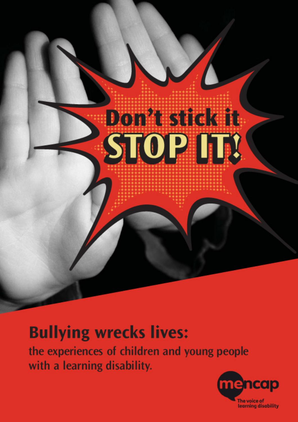

# **Bullying wrecks lives:**

the experiences of children and young people with a learning disability.

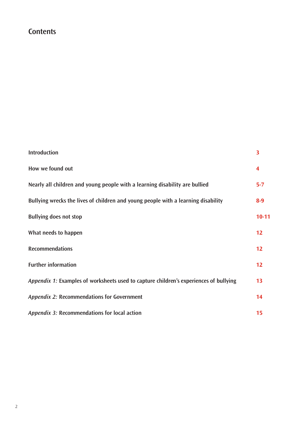# **Contents**

| <b>Introduction</b>                                                                   | $\overline{\mathbf{3}}$ |
|---------------------------------------------------------------------------------------|-------------------------|
| How we found out                                                                      | 4                       |
| Nearly all children and young people with a learning disability are bullied           | $5 - 7$                 |
| Bullying wrecks the lives of children and young people with a learning disability     | $8-9$                   |
| <b>Bullying does not stop</b>                                                         | $10 - 11$               |
| What needs to happen                                                                  | 12                      |
| <b>Recommendations</b>                                                                | 12                      |
| <b>Further information</b>                                                            | 12                      |
| Appendix 1: Examples of worksheets used to capture children's experiences of bullying | 13                      |
| Appendix 2: Recommendations for Government                                            | 14                      |
| Appendix 3: Recommendations for local action                                          | 15                      |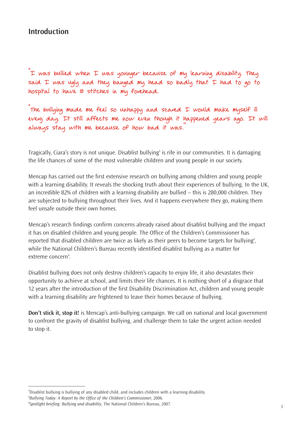# **Introduction**

"I was bullied when I was younger because of my learning disability. They said I was ugly and they banged my head so badly that I had to go to hospital to have 18 stitches in my forehead.

"The bullying made me feel so unhappy and scared I would make myself ill every day. It still affects me now even though it happened years ago. It will always stay with me because of how bad it was."

Tragically, Ciara's story is not unique. Disablist bullying**<sup>1</sup>** is rife in our communities. It is damaging the life chances of some of the most vulnerable children and young people in our society.

Mencap has carried out the first extensive research on bullying among children and young people with a learning disability. It reveals the shocking truth about their experiences of bullying. In the UK, an incredible 82% of children with a learning disability are bullied – this is 280,000 children. They are subjected to bullying throughout their lives. And it happens everywhere they go, making them feel unsafe outside their own homes.

Mencap's research findings confirm concerns already raised about disablist bullying and the impact it has on disabled children and young people. The Office of the Children's Commissioner has reported that disabled children are twice as likely as their peers to become targets for bullying**<sup>2</sup>** , while the National Children's Bureau recently identified disablist bullying as a matter for extreme concern<sup>3</sup>.

Disablist bullying does not only destroy children's capacity to enjoy life, it also devastates their opportunity to achieve at school, and limits their life chances. It is nothing short of a disgrace that 12 years after the introduction of the first Disability Discrimination Act, children and young people with a learning disability are frightened to leave their homes because of bullying.

**Don't stick it, stop it!** is Mencap's anti-bullying campaign. We call on national and local government to confront the gravity of disablist bullying, and challenge them to take the urgent action needed to stop it.

**<sup>1</sup>** Disablist bullying is bullying of any disabled child, and includes children with a learning disability.

**<sup>2</sup>** *Bullying Today: A Report by the Office of the Children's Commissioner*, 2006.

**<sup>3</sup>** *Spotlight briefing: Bullying and disability*, The National Children's Bureau, 2007.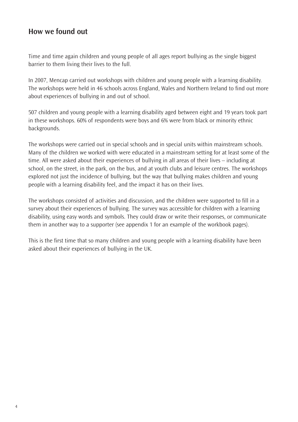# **How we found out**

Time and time again children and young people of all ages report bullying as the single biggest barrier to them living their lives to the full.

In 2007, Mencap carried out workshops with children and young people with a learning disability. The workshops were held in 46 schools across England, Wales and Northern Ireland to find out more about experiences of bullying in and out of school.

507 children and young people with a learning disability aged between eight and 19 years took part in these workshops. 60% of respondents were boys and 6% were from black or minority ethnic backgrounds.

The workshops were carried out in special schools and in special units within mainstream schools. Many of the children we worked with were educated in a mainstream setting for at least some of the time. All were asked about their experiences of bullying in all areas of their lives – including at school, on the street, in the park, on the bus, and at youth clubs and leisure centres. The workshops explored not just the incidence of bullying, but the way that bullying makes children and young people with a learning disability feel, and the impact it has on their lives.

The workshops consisted of activities and discussion, and the children were supported to fill in a survey about their experiences of bullying. The survey was accessible for children with a learning disability, using easy words and symbols. They could draw or write their responses, or communicate them in another way to a supporter (see appendix 1 for an example of the workbook pages).

This is the first time that so many children and young people with a learning disability have been asked about their experiences of bullying in the UK.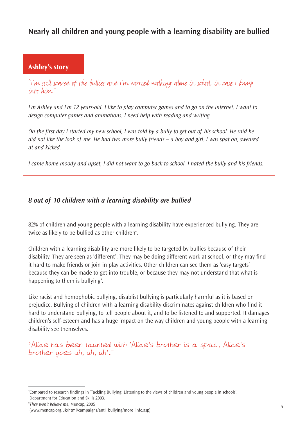# **Nearly all children and young people with a learning disability are bullied**

# **Ashley's story**

"I'm still scared of the bullies and I'm worried walking alone in school, in case I bump into him."

*I'm Ashley and I'm 12 years-old. I like to play computer games and to go on the internet. I want to design computer games and animations. I need help with reading and writing.*

*On the first day I started my new school, I was told by a bully to get out of his school. He said he did not like the look of me. He had two more bully friends – a boy and girl. I was spat on, sweared at and kicked.*

*I came home moody and upset, I did not want to go back to school. I hated the bully and his friends.*

## *8 out of 10 children with a learning disability are bullied*

82% of children and young people with a learning disability have experienced bullying. They are twice as likely to be bullied as other children**<sup>4</sup>** .

Children with a learning disability are more likely to be targeted by bullies because of their disability. They are seen as 'different'. They may be doing different work at school, or they may find it hard to make friends or join in play activities. Other children can see them as 'easy targets' because they can be made to get into trouble, or because they may not understand that what is happening to them is bullying**<sup>5</sup>** .

Like racist and homophobic bullying, disablist bullying is particularly harmful as it is based on prejudice. Bullying of children with a learning disability discriminates against children who find it hard to understand bullying, to tell people about it, and to be listened to and supported. It damages children's self-esteem and has a huge impact on the way children and young people with a learning disability see themselves.

"Alice has been taunted with 'Alice's brother is a spac, Alice's brother goes uh, uh, uh'."

**<sup>4</sup>** Compared to research findings in 'Tackling Bullying: Listening to the views of children and young people in schools', Department for Education and Skills 2003.

**<sup>5</sup>** *They won't believe me*, Mencap, 2005

<sup>(</sup>www.mencap.org.uk/html/campaigns/anti\_bullying/more\_info.asp)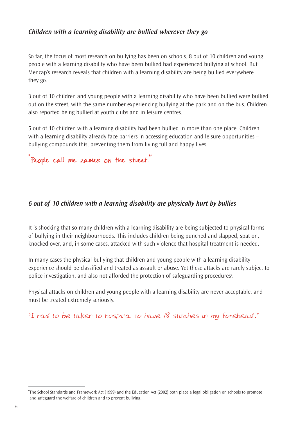## *Children with a learning disability are bullied wherever they go*

So far, the focus of most research on bullying has been on schools. 8 out of 10 children and young people with a learning disability who have been bullied had experienced bullying at school. But Mencap's research reveals that children with a learning disability are being bullied everywhere they go.

3 out of 10 children and young people with a learning disability who have been bullied were bullied out on the street, with the same number experiencing bullying at the park and on the bus. Children also reported being bullied at youth clubs and in leisure centres.

5 out of 10 children with a learning disability had been bullied in more than one place. Children with a learning disability already face barriers in accessing education and leisure opportunities – bullying compounds this, preventing them from living full and happy lives.



## *6 out of 10 children with a learning disability are physically hurt by bullies*

It is shocking that so many children with a learning disability are being subjected to physical forms of bullying in their neighbourhoods. This includes children being punched and slapped, spat on, knocked over, and, in some cases, attacked with such violence that hospital treatment is needed.

In many cases the physical bullying that children and young people with a learning disability experience should be classified and treated as assault or abuse. Yet these attacks are rarely subject to police investigation, and also not afforded the protection of safeguarding procedures<sup>6</sup>.

Physical attacks on children and young people with a learning disability are never acceptable, and must be treated extremely seriously.

"I had to be taken to hospital to have 18 stitches in my forehead."

**<sup>6</sup>** The School Standards and Framework Act (1999) and the Education Act (2002) both place a legal obligation on schools to promote and safeguard the welfare of children and to prevent bullying.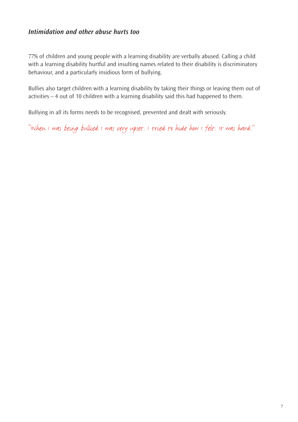## *Intimidation and other abuse hurts too*

77% of children and young people with a learning disability are verbally abused. Calling a child with a learning disability hurtful and insulting names related to their disability is discriminatory behaviour, and a particularly insidious form of bullying.

Bullies also target children with a learning disability by taking their things or leaving them out of activities – 4 out of 10 children with a learning disability said this had happened to them.

Bullying in all its forms needs to be recognised, prevented and dealt with seriously.

"When I was being bullied I was very upset. I tried to hide how I felt. It was hard."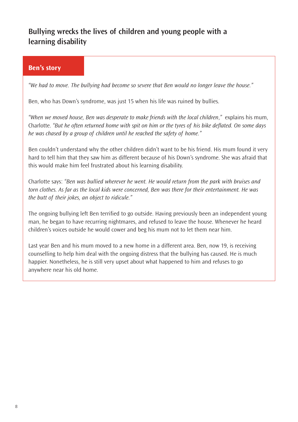# **Bullying wrecks the lives of children and young people with a learning disability**

## **Ben's story**

*"We had to move. The bullying had become so severe that Ben would no longer leave the house."*

Ben, who has Down's syndrome, was just 15 when his life was ruined by bullies.

*"When we moved house, Ben was desperate to make friends with the local children*,*"* explains his mum, Charlotte. *"But he often returned home with spit on him or the tyres of his bike deflated. On some days he was chased by a group of children until he reached the safety of home."*

Ben couldn't understand why the other children didn't want to be his friend. His mum found it very hard to tell him that they saw him as different because of his Down's syndrome. She was afraid that this would make him feel frustrated about his learning disability.

Charlotte says: *"Ben was bullied wherever he went. He would return from the park with bruises and torn clothes. As far as the local kids were concerned, Ben was there for their entertainment. He was the butt of their jokes, an object to ridicule."*

The ongoing bullying left Ben terrified to go outside. Having previously been an independent young man, he began to have recurring nightmares, and refused to leave the house. Whenever he heard children's voices outside he would cower and beg his mum not to let them near him.

Last year Ben and his mum moved to a new home in a different area. Ben, now 19, is receiving counselling to help him deal with the ongoing distress that the bullying has caused. He is much happier. Nonetheless, he is still very upset about what happened to him and refuses to go anywhere near his old home.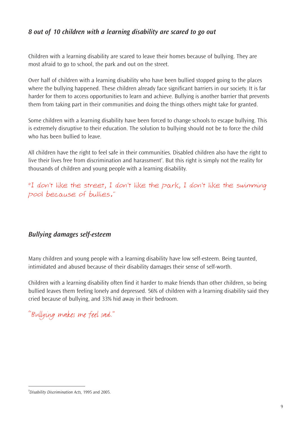# *8 out of 10 children with a learning disability are scared to go out*

Children with a learning disability are scared to leave their homes because of bullying. They are most afraid to go to school, the park and out on the street.

Over half of children with a learning disability who have been bullied stopped going to the places where the bullying happened. These children already face significant barriers in our society. It is far harder for them to access opportunities to learn and achieve. Bullying is another barrier that prevents them from taking part in their communities and doing the things others might take for granted.

Some children with a learning disability have been forced to change schools to escape bullying. This is extremely disruptive to their education. The solution to bullying should not be to force the child who has been bullied to leave.

All children have the right to feel safe in their communities. Disabled children also have the right to live their lives free from discrimination and harassment**<sup>7</sup>** . But this right is simply not the reality for thousands of children and young people with a learning disability.

"I don't like the street, I don't like the park, I don't like the swimming pool because of bullies."

# *Bullying damages self-esteem*

Many children and young people with a learning disability have low self-esteem. Being taunted, intimidated and abused because of their disability damages their sense of self-worth.

Children with a learning disability often find it harder to make friends than other children, so being bullied leaves them feeling lonely and depressed. 56% of children with a learning disability said they cried because of bullying, and 33% hid away in their bedroom.

"Bullying makes me feel sad."

**<sup>7</sup>** *Disability Discrimination Acts,* 1995 and 2005.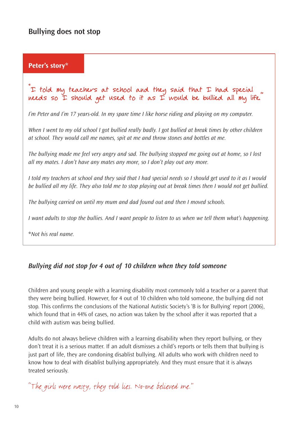### **Peter's story\***

## I told my teachers at school and they said that I had special needs so I should get used to it as I would be bullied all my life.

*I'm Peter and I'm 17 years-old. In my spare time I like horse riding and playing on my computer.* 

*When I went to my old school I got bullied really badly. I got bullied at break times by other children at school. They would call me names, spit at me and throw stones and bottles at me.*

*The bullying made me feel very angry and sad. The bullying stopped me going out at home, so I lost all my mates. I don't have any mates any more, so I don't play out any more.*

*I told my teachers at school and they said that I had special needs so I should get used to it as I would be bullied all my life. They also told me to stop playing out at break times then I would not get bullied.*

*The bullying carried on until my mum and dad found out and then I moved schools.*

*I want adults to stop the bullies. And I want people to listen to us when we tell them what's happening.*

\**Not his real name.*

## *Bullying did not stop for 4 out of 10 children when they told someone*

Children and young people with a learning disability most commonly told a teacher or a parent that they were being bullied. However, for 4 out of 10 children who told someone, the bullying did not stop. This confirms the conclusions of the National Autistic Society's 'B is for Bullying' report (2006), which found that in 44% of cases, no action was taken by the school after it was reported that a child with autism was being bullied.

Adults do not always believe children with a learning disability when they report bullying, or they don't treat it is a serious matter. If an adult dismisses a child's reports or tells them that bullying is just part of life, they are condoning disablist bullying. All adults who work with children need to know how to deal with disablist bullying appropriately. And they must ensure that it is always treated seriously.

"The girls were nasty, they told lies. No-one believed me."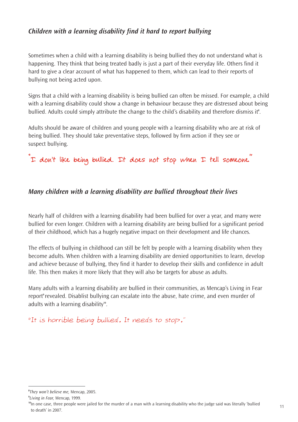# *Children with a learning disability find it hard to report bullying*

Sometimes when a child with a learning disability is being bullied they do not understand what is happening. They think that being treated badly is just a part of their everyday life. Others find it hard to give a clear account of what has happened to them, which can lead to their reports of bullying not being acted upon.

Signs that a child with a learning disability is being bullied can often be missed. For example, a child with a learning disability could show a change in behaviour because they are distressed about being bullied. Adults could simply attribute the change to the child's disability and therefore dismiss it**<sup>8</sup>** .

Adults should be aware of children and young people with a learning disability who are at risk of being bullied. They should take preventative steps, followed by firm action if they see or suspect bullying.

"I don't like being bullied. It does not stop when I tell someone."

## *Many children with a learning disability are bullied throughout their lives*

Nearly half of children with a learning disability had been bullied for over a year, and many were bullied for even longer. Children with a learning disability are being bullied for a significant period of their childhood, which has a hugely negative impact on their development and life chances.

The effects of bullying in childhood can still be felt by people with a learning disability when they become adults. When children with a learning disability are denied opportunities to learn, develop and achieve because of bullying, they find it harder to develop their skills and confidence in adult life. This then makes it more likely that they will also be targets for abuse as adults.

Many adults with a learning disability are bullied in their communities, as Mencap's Living in Fear report<sup>9</sup> revealed. Disablist bullying can escalate into the abuse, hate crime, and even murder of adults with a learning disability**<sup>10</sup>** .

"It is horrible being bullied. It needs to stop."

**<sup>8</sup>** *They won't believe me,* Mencap, 2005.

**<sup>9</sup>** *Living in Fear,* Mencap, 1999.

**<sup>10</sup>**In one case, three people were jailed for the murder of a man with a learning disability who the judge said was literally 'bullied to death' in 2007.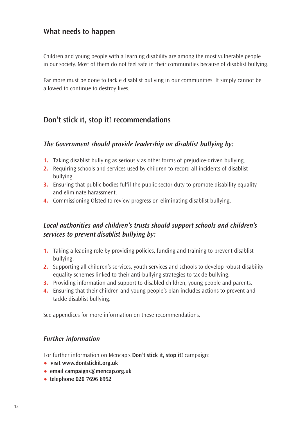# **What needs to happen**

Children and young people with a learning disability are among the most vulnerable people in our society. Most of them do not feel safe in their communities because of disablist bullying.

Far more must be done to tackle disablist bullying in our communities. It simply cannot be allowed to continue to destroy lives.

# **Don't stick it, stop it! recommendations**

## *The Government should provide leadership on disablist bullying by:*

- **1.** Taking disablist bullying as seriously as other forms of prejudice-driven bullying.
- **2.** Requiring schools and services used by children to record all incidents of disablist bullying.
- **3.** Ensuring that public bodies fulfil the public sector duty to promote disability equality and eliminate harassment.
- **4.** Commissioning Ofsted to review progress on eliminating disablist bullying.

# *Local authorities and children's trusts should support schools and children's services to prevent disablist bullying by:*

- **1.** Taking a leading role by providing policies, funding and training to prevent disablist bullying.
- **2.** Supporting all children's services, youth services and schools to develop robust disability equality schemes linked to their anti-bullying strategies to tackle bullying.
- **3.** Providing information and support to disabled children, young people and parents.
- **4.** Ensuring that their children and young people's plan includes actions to prevent and tackle disablist bullying.

See appendices for more information on these recommendations.

#### *Further information*

For further information on Mencap's **Don't stick it, stop it!** campaign:

- **• visit www.dontstickit.org.uk**
- **• email campaigns@mencap.org.uk**
- **• telephone 020 7696 6952**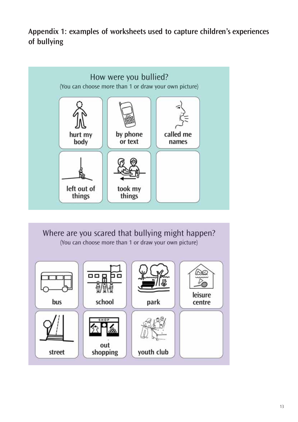**Appendix 1: examples of worksheets used to capture children's experiences of bullying**



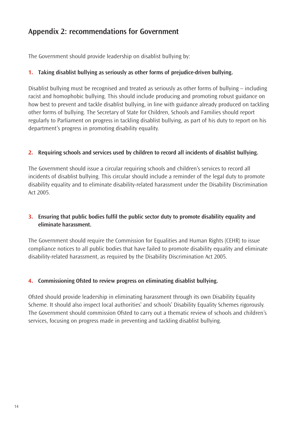# **Appendix 2: recommendations for Government**

The Government should provide leadership on disablist bullying by:

#### **1. Taking disablist bullying as seriously as other forms of prejudice-driven bullying.**

Disablist bullying must be recognised and treated as seriously as other forms of bullying – including racist and homophobic bullying. This should include producing and promoting robust guidance on how best to prevent and tackle disablist bullying, in line with guidance already produced on tackling other forms of bullying. The Secretary of State for Children, Schools and Families should report regularly to Parliament on progress in tackling disablist bullying, as part of his duty to report on his department's progress in promoting disability equality.

#### **2. Requiring schools and services used by children to record all incidents of disablist bullying.**

The Government should issue a circular requiring schools and children's services to record all incidents of disablist bullying. This circular should include a reminder of the legal duty to promote disability equality and to eliminate disability-related harassment under the Disability Discrimination Act 2005.

#### **3. Ensuring that public bodies fulfil the public sector duty to promote disability equality and eliminate harassment.**

The Government should require the Commission for Equalities and Human Rights (CEHR) to issue compliance notices to all public bodies that have failed to promote disability equality and eliminate disability-related harassment, as required by the Disability Discrimination Act 2005.

#### **4. Commissioning Ofsted to review progress on eliminating disablist bullying.**

Ofsted should provide leadership in eliminating harassment through its own Disability Equality Scheme. It should also inspect local authorities' and schools' Disability Equality Schemes rigorously. The Government should commission Ofsted to carry out a thematic review of schools and children's services, focusing on progress made in preventing and tackling disablist bullying.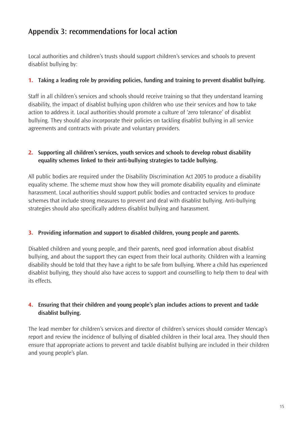# **Appendix 3: recommendations for local action**

Local authorities and children's trusts should support children's services and schools to prevent disablist bullying by:

#### **1. Taking a leading role by providing policies, funding and training to prevent disablist bullying.**

Staff in all children's services and schools should receive training so that they understand learning disability, the impact of disablist bullying upon children who use their services and how to take action to address it. Local authorities should promote a culture of 'zero tolerance' of disablist bullying. They should also incorporate their policies on tackling disablist bullying in all service agreements and contracts with private and voluntary providers.

#### **2. Supporting all children's services, youth services and schools to develop robust disability equality schemes linked to their anti-bullying strategies to tackle bullying.**

All public bodies are required under the Disability Discrimination Act 2005 to produce a disability equality scheme. The scheme must show how they will promote disability equality and eliminate harassment. Local authorities should support public bodies and contracted services to produce schemes that include strong measures to prevent and deal with disablist bullying. Anti-bullying strategies should also specifically address disablist bullying and harassment.

#### **3. Providing information and support to disabled children, young people and parents.**

Disabled children and young people, and their parents, need good information about disablist bullying, and about the support they can expect from their local authority. Children with a learning disability should be told that they have a right to be safe from bullying. Where a child has experienced disablist bullying, they should also have access to support and counselling to help them to deal with its effects.

#### **4. Ensuring that their children and young people's plan includes actions to prevent and tackle disablist bullying.**

The lead member for children's services and director of children's services should consider Mencap's report and review the incidence of bullying of disabled children in their local area. They should then ensure that appropriate actions to prevent and tackle disablist bullying are included in their children and young people's plan.